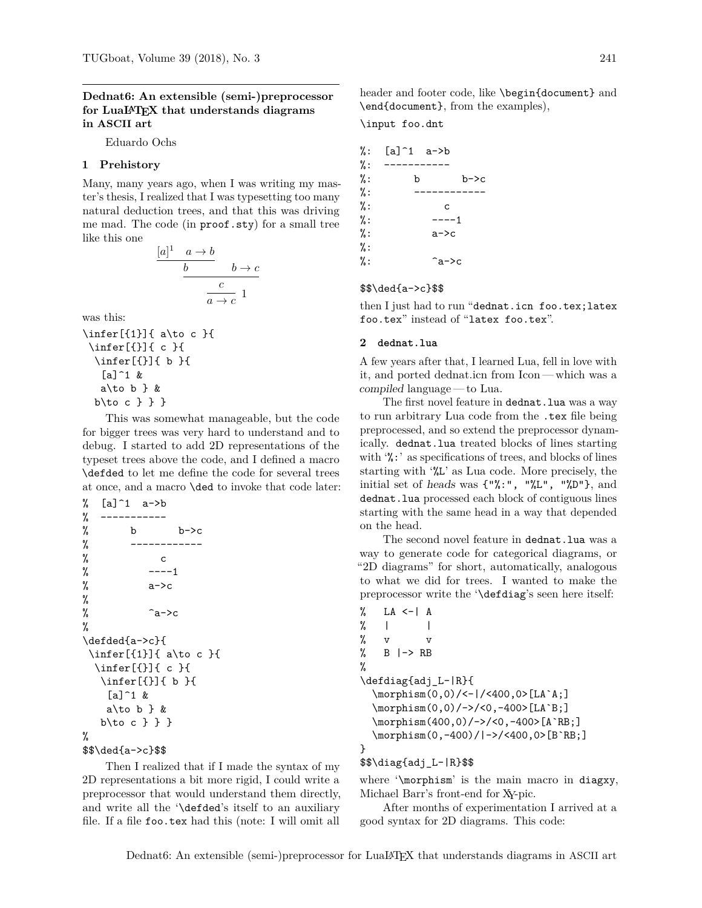## **Dednat6: An extensible (semi-)preprocessor for LuaLATEX that understands diagrams in ASCII art**

Eduardo Ochs

#### **1 Prehistory**

Many, many years ago, when I was writing my master's thesis, I realized that I was typesetting too many natural deduction trees, and that this was driving me mad. The code (in proof.sty) for a small tree like this one

$$
\frac{[a]^1 \quad a \to b}{b} \qquad b \to c
$$

$$
\frac{c}{a \to c} 1
$$

was this:

```
\infer[{1}]{ a\to c }{
\infer[{}]{ c }{
  \infer[{}]{ b }{
   \lceil a \rceil^2 &
   a\to b } &
  b\to c } } }
```
This was somewhat manageable, but the code for bigger trees was very hard to understand and to debug. I started to add 2D representations of the typeset trees above the code, and I defined a macro \defded to let me define the code for several trees at once, and a macro \ded to invoke that code later:

```
% [a]^{\frown}1 a->b
% -----------
% b b \rightarrow c% ------------
% c
\% ---1% a->c
%
\% \qquad \qquad \sim \sim%
\defded{a->c}{
 \infer[{1}]{ a\to c }{
 \infer[{}]{ c }{
  \infer[{}]{ b }{
    [a]^{\frown}1 \&a\to b \} &
  b\to c } } }
%
```

```
$$\ded{a->c}$$
```
Then I realized that if I made the syntax of my 2D representations a bit more rigid, I could write a preprocessor that would understand them directly, and write all the '\defded's itself to an auxiliary file. If a file foo.tex had this (note: I will omit all header and footer code, like \begin{document} and \end{document}, from the examples),

\input foo.dnt

| %: | $[a]^{\hat{ }}1 \quad a\text{-}\text{-}\text{-}\text{-}\text{-}\text{-}\text{-}b$ |  |      |
|----|-----------------------------------------------------------------------------------|--|------|
| %: |                                                                                   |  |      |
| %: | b                                                                                 |  | b->c |
| %: |                                                                                   |  |      |
| %: | C                                                                                 |  |      |
| %: | ----1                                                                             |  |      |
| %: | a->c                                                                              |  |      |
| %: |                                                                                   |  |      |
| %: | $\hat{a}$ ->c                                                                     |  |      |
|    |                                                                                   |  |      |

### \$\$\ded{a->c}\$\$

then I just had to run "dednat.icn foo.tex;latex foo.tex" instead of "latex foo.tex".

### **2 dednat.lua**

A few years after that, I learned Lua, fell in love with it, and ported dednat.icn from Icon— which was a compiled language— to Lua.

The first novel feature in dednat.lua was a way to run arbitrary Lua code from the .tex file being preprocessed, and so extend the preprocessor dynamically. dednat.lua treated blocks of lines starting with '%:' as specifications of trees, and blocks of lines starting with '%L' as Lua code. More precisely, the initial set of heads was {"%:", "%L", "%D"}, and dednat.lua processed each block of contiguous lines starting with the same head in a way that depended on the head.

The second novel feature in dednat.lua was a way to generate code for categorical diagrams, or "2D diagrams" for short, automatically, analogous to what we did for trees. I wanted to make the preprocessor write the '\defdiag's seen here itself:

```
% LA <-| A
\% | |
% v v
\% B \left| \rightarrow \right| RB
%
\defdiag{adj_L-|R}{
  \morphism(0,0)/<-|/<400,0>[LA`A;]
  \morphism(0,0)/->/<0,-400>[LA`B;]
  \morphism(400,0)/->/<0,-400>[A`RB;]
  \morphism(0,-400)/|->/<400,0>[B`RB;]
}
```
#### \$\$\diag{adj\_L-|R}\$\$

where '\morphism' is the main macro in diagxy, Michael Barr's front-end for XY-pic.

After months of experimentation I arrived at a good syntax for 2D diagrams. This code: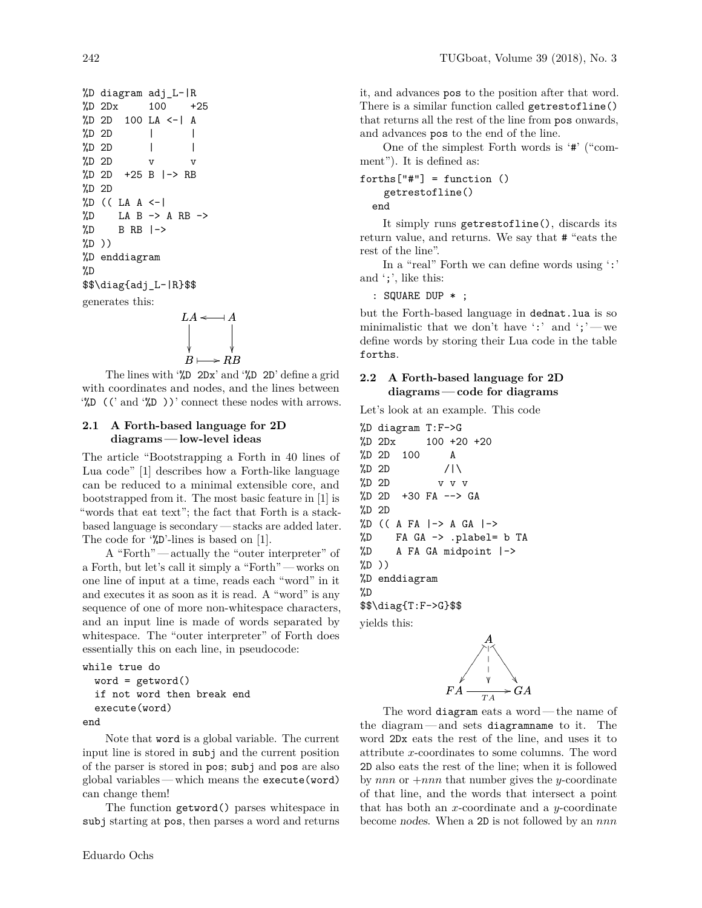```
%D diagram adj_L-|R
%D 2Dx 100 +25
%D 2D 100 LA <-| A
\frac{\%D}{\%D} 2D | |
\%D 2D | |
\%D 2D v v
%D 2D +25 B |-> RB
%D 2D
\%D ((LA A \leftarrow|
\%D LA B -> A RB ->
\%D B RB \rightarrow\sqrt[9]{D})
%D enddiagram
%D
$$\diag{adj_L-|R}$$
generates this:
```

$$
LA \xleftarrow{} A
$$
  

$$
B \longmapsto RB
$$

The lines with '%D 2Dx' and '%D 2D' define a grid with coordinates and nodes, and the lines between  $\mathcal{L}$  ((' and  $\mathcal{L}$ ))' connect these nodes with arrows.

# **2.1 A Forth-based language for 2D diagrams— low-level ideas**

The article "Bootstrapping a Forth in 40 lines of Lua code" [1] describes how a Forth-like language can be reduced to a minimal extensible core, and bootstrapped from it. The most basic feature in [1] is "words that eat text"; the fact that Forth is a stackbased language is secondary — stacks are added later. The code for '%D'-lines is based on [1].

A "Forth" — actually the "outer interpreter" of a Forth, but let's call it simply a "Forth" — works on one line of input at a time, reads each "word" in it and executes it as soon as it is read. A "word" is any sequence of one of more non-whitespace characters, and an input line is made of words separated by whitespace. The "outer interpreter" of Forth does essentially this on each line, in pseudocode:

```
while true do
  word = getword()if not word then break end
  execute(word)
```
end

Note that word is a global variable. The current input line is stored in subj and the current position of the parser is stored in pos; subj and pos are also global variables— which means the execute(word) can change them!

The function getword() parses whitespace in subj starting at pos, then parses a word and returns

it, and advances pos to the position after that word. There is a similar function called getrestofline() that returns all the rest of the line from pos onwards, and advances pos to the end of the line.

One of the simplest Forth words is '#' ("comment"). It is defined as:

```
forths['#"] = function ()getrestofline()
```
end

It simply runs getrestofline(), discards its return value, and returns. We say that # "eats the rest of the line".

In a "real" Forth we can define words using ':' and ';', like this:

: SQUARE DUP \* ;

but the Forth-based language in dednat.lua is so minimalistic that we don't have ':' and ';'— we define words by storing their Lua code in the table forths.

# **2.2 A Forth-based language for 2D diagrams— code for diagrams**

Let's look at an example. This code

%D diagram T:F->G %D 2Dx 100 +20 +20 %D 2D 100 A  $\frac{\%D}{\%D}$  2D /|\ %D 2D v v v %D 2D +30 FA --> GA %D 2D  $\%D$  ((A FA  $\vert -\rangle$  A GA  $\vert -\rangle$ %D FA GA -> .plabel= b TA %D A FA GA midpoint |-> %D )) %D enddiagram %D \$\$\diag{T:F->G}\$\$ yields this:



The word diagram eats a word— the name of the diagram— and sets diagramname to it. The word 2Dx eats the rest of the line, and uses it to attribute x-coordinates to some columns. The word 2D also eats the rest of the line; when it is followed by nnn or  $+nnn$  that number gives the y-coordinate of that line, and the words that intersect a point that has both an x-coordinate and a y-coordinate become nodes. When a  $2D$  is not followed by an  $nnn$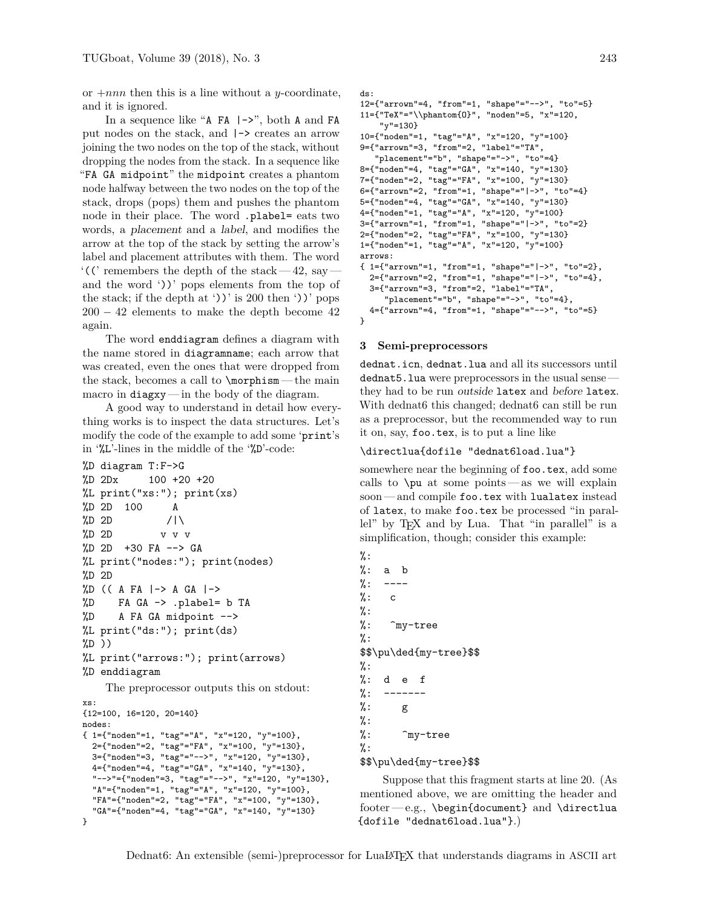or  $+nnn$  then this is a line without a y-coordinate, and it is ignored.

In a sequence like "A FA  $\vert$  ->", both A and FA put nodes on the stack, and |-> creates an arrow joining the two nodes on the top of the stack, without dropping the nodes from the stack. In a sequence like "FA GA midpoint" the midpoint creates a phantom node halfway between the two nodes on the top of the stack, drops (pops) them and pushes the phantom node in their place. The word .plabel= eats two words, a placement and a label, and modifies the arrow at the top of the stack by setting the arrow's label and placement attributes with them. The word  $\lq$ <sup>'</sup>((' remembers the depth of the stack—42, say and the word '))' pops elements from the top of the stack; if the depth at ' $)$ ' is 200 then ' $)$ ' pops  $200 - 42$  elements to make the depth become 42 again.

The word enddiagram defines a diagram with the name stored in diagramname; each arrow that was created, even the ones that were dropped from the stack, becomes a call to  $\mathrm{normal}$  -the main macro in diagxy — in the body of the diagram.

A good way to understand in detail how everything works is to inspect the data structures. Let's modify the code of the example to add some 'print's in '%L'-lines in the middle of the '%D'-code:

```
%D diagram T:F->G
%D 2Dx 100 +20 +20
%L print("xs:"); print(xs)
%D 2D 100 A
\%D 2D //\
%D 2D v v v
%D 2D +30 FA --> GA
%L print("nodes:"); print(nodes)
%D 2D
\%D (( A FA \vert -\rangle A GA \vert -\rangle%D FA GA -> .plabel= b TA
%D A FA GA midpoint -->
%L print("ds:"); print(ds)
%D ))
%L print("arrows:"); print(arrows)
```

```
%D enddiagram
```
The preprocessor outputs this on stdout:

```
xs:
{12=100, 16=120, 20=140}
nodes:
{ 1={"noden"=1, "tag"="A", "x"=120, "y"=100},
 2={"noden"=2, "tag"="FA", "x"=100, "y"=130},
  3={"noden"=3, "tag"="-->", "x"=120, "y"=130},
  4={"noden"=4, "tag"="GA", "x"=140, "y"=130},
  "-->"={"noden"=3, "tag"="-->", "x"=120, "y"=130},
 "A"={"noden"=1, "tag"="A", "x"=120, "y"=100},
  "FA"={"noden"=2, "tag"="FA", "x"=100, "y"=130},
  "GA"={"noden"=4, "tag"="GA", "x"=140, "y"=130}
}
```

```
ds:
12={"arrown"=4, "from"=1, "shape"="-->", "to"=5}
11={"TeX"="\\phantom{O}", "noden"=5, "x"=120,
    "y"=130}
10={"noden"=1, "tag"="A", "x"=120, "y"=100}
9={"arrown"=3, "from"=2, "label"="TA",
   "placement"="b", "shape"="->", "to"=4}
8={"noden"=4, "tag"="GA", "x"=140, "y"=130}
7={"noden"=2, "tag"="FA", "x"=100, "y"=130}
6={"arrown"=2, "from"=1, "shape"="|->", "to"=4}
5={"noden"=4, "tag"="GA", "x"=140, "y"=130}
4={"noden"=1, "tag"="A", "x"=120, "y"=100}
3={"arrown"=1, "from"=1, "shape"="|->", "to"=2}
2={"noden"=2, "tag"="FA", "x"=100, "y"=130}
1={"noden"=1, "tag"="A", "x"=120, "y"=100}
arrows:
{ 1={"arrown"=1, "from"=1, "shape"="|->", "to"=2},
  2={"arrown"=2, "from"=1, "shape"="|->", "to"=4},
 3={"arrown"=3, "from"=2, "label"="TA",
     "placement"="b", "shape"="->", "to"=4},
 4={"arrown"=4, "from"=1, "shape"="-->", "to"=5}
}
```
### **3 Semi-preprocessors**

dednat.icn, dednat.lua and all its successors until dednat5. lua were preprocessors in the usual sense they had to be run outside latex and before latex. With dednat6 this changed; dednat6 can still be run as a preprocessor, but the recommended way to run it on, say, foo.tex, is to put a line like

#### \directlua{dofile "dednat6load.lua"}

somewhere near the beginning of foo.tex, add some calls to \pu at some points— as we will explain soon — and compile foo.tex with lualatex instead of latex, to make foo.tex be processed "in parallel" by TEX and by Lua. That "in parallel" is a simplification, though; consider this example:

```
%:
\frac{9}{6}: a b
\%: ---\%: c
%:
%: ^my-tree
%:
$$\pu\ded{my-tree}$$
%:
%: d e f
\frac{9}{6}: ------
%: g%:
\%: \hat{m}v-tree
\%:
$$\pu\ded{my-tree}$$
```
Suppose that this fragment starts at line 20. (As mentioned above, we are omitting the header and footer—e.g.,  $begin{document}$  and  $\dagger$ {dofile "dednat6load.lua"}.)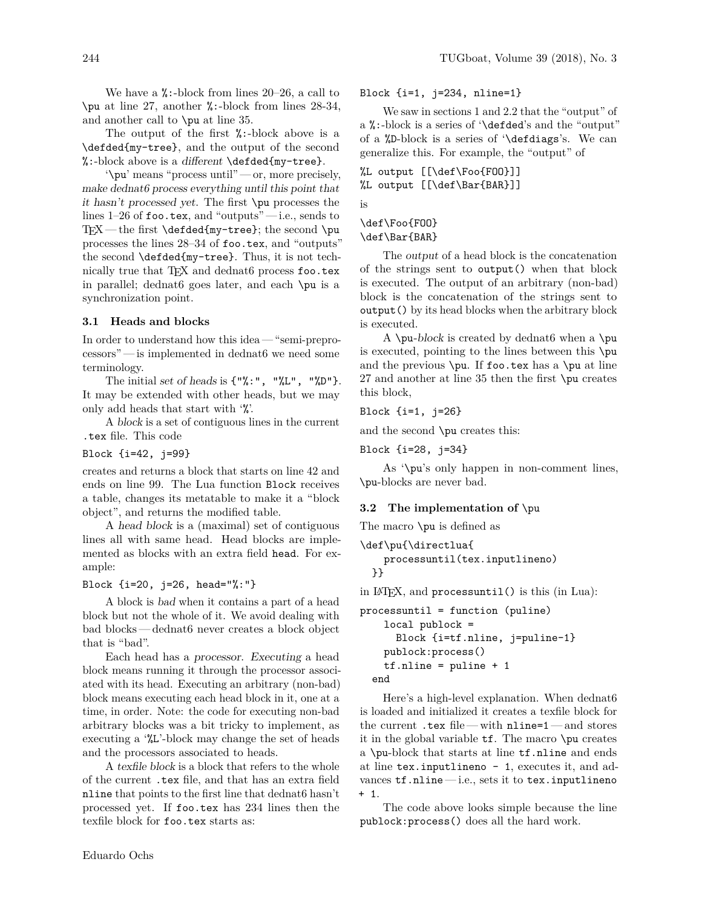We have a  $\frac{\pi}{6}$ :-block from lines 20–26, a call to \pu at line 27, another %:-block from lines 28-34, and another call to \pu at line 35.

The output of the first %:-block above is a \defded{my-tree}, and the output of the second  $\mathcal{C}:$ -block above is a different  $\def\def\def\def{\mathcal{L}(\mathbb{R}^n)}$  and  $\def\def\def{\mathcal{L}(\mathbb{R}^n)}$ 

'\pu' means "process until" — or, more precisely, make dednat6 process everything until this point that it hasn't processed yet. The first \pu processes the lines  $1-26$  of foo.tex, and "outputs" $-$ i.e., sends to  $TrX$ — the first \defded{my-tree}; the second \pu processes the lines 28–34 of foo.tex, and "outputs" the second \defded{my-tree}. Thus, it is not technically true that TEX and dednat6 process foo.tex in parallel; dednat6 goes later, and each \pu is a synchronization point.

# **3.1 Heads and blocks**

In order to understand how this idea — "semi-preprocessors" — is implemented in dednat6 we need some terminology.

The initial set of heads is  $\{\cdot\}, \cdot\$ ." $\mathcal{L}$ ", " $\mathcal{L}$ "}. It may be extended with other heads, but we may only add heads that start with '%'.

A block is a set of contiguous lines in the current .tex file. This code

Block {i=42, j=99}

creates and returns a block that starts on line 42 and ends on line 99. The Lua function Block receives a table, changes its metatable to make it a "block object", and returns the modified table.

A head block is a (maximal) set of contiguous lines all with same head. Head blocks are implemented as blocks with an extra field head. For example:

Block {i=20, j=26, head="%:"}

A block is bad when it contains a part of a head block but not the whole of it. We avoid dealing with bad blocks— dednat6 never creates a block object that is "bad".

Each head has a processor. Executing a head block means running it through the processor associated with its head. Executing an arbitrary (non-bad) block means executing each head block in it, one at a time, in order. Note: the code for executing non-bad arbitrary blocks was a bit tricky to implement, as executing a '%L'-block may change the set of heads and the processors associated to heads.

A texfile block is a block that refers to the whole of the current .tex file, and that has an extra field nline that points to the first line that dednat6 hasn't processed yet. If foo.tex has 234 lines then the texfile block for foo.tex starts as:

We saw in sections 1 and 2.2 that the "output" of a %:-block is a series of '\defded's and the "output" of a %D-block is a series of '\defdiags's. We can generalize this. For example, the "output" of

%L output [[\def\Foo{FOO}]] %L output [[\def\Bar{BAR}]] is

\def\Foo{FOO} \def\Bar{BAR}

The output of a head block is the concatenation of the strings sent to output() when that block is executed. The output of an arbitrary (non-bad) block is the concatenation of the strings sent to output() by its head blocks when the arbitrary block is executed.

A \pu-block is created by dednat6 when a \pu is executed, pointing to the lines between this \pu and the previous  $\pu$ . If foo.tex has a  $\pu$  at line 27 and another at line 35 then the first \pu creates this block,

Block {i=1, j=26}

and the second \pu creates this:

Block {i=28, j=34}

As '\pu's only happen in non-comment lines, \pu-blocks are never bad.

# **3.2 The implementation of** \pu

The macro \pu is defined as

```
\def\pu{\directlua{
   processuntil(tex.inputlineno)
 }}
```
in LATEX, and processuntil() is this (in Lua):

```
processuntil = function (puline)
    local publock =
      Block {i=tf.nline, j=puline-1}
    publock:process()
    tf.nline = pulline + 1end
```
Here's a high-level explanation. When dednat6 is loaded and initialized it creates a texfile block for the current .tex file— with nline=1— and stores it in the global variable tf. The macro \pu creates a \pu-block that starts at line tf.nline and ends at line tex.inputlineno - 1, executes it, and advances  $tf.nline$   $-$  i.e., sets it to tex.inputlineno + 1.

The code above looks simple because the line publock:process() does all the hard work.